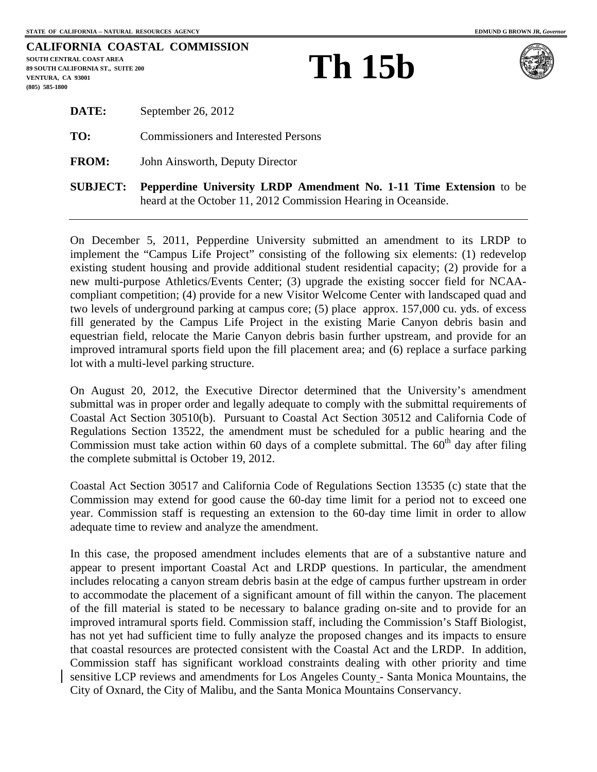|                                           | CALIFORNIA COASTAL COMMISSION |
|-------------------------------------------|-------------------------------|
| SOUTH CENTRAL COAST AREA                  |                               |
| <b>89 SOUTH CALIFORNIA ST., SUITE 200</b> |                               |
| VENTURA. CA 93001                         |                               |
| $(805)$ 585-1800                          |                               |

## **Th 15b**



|              | <b>- -- -</b>                               |  |
|--------------|---------------------------------------------|--|
| <b>FROM:</b> | John Ainsworth, Deputy Director             |  |
| TO:          | <b>Commissioners and Interested Persons</b> |  |
| DATE:        | September 26, 2012                          |  |

**SUBJECT: Pepperdine University LRDP Amendment No. 1-11 Time Extension** to be heard at the October 11, 2012 Commission Hearing in Oceanside.

On December 5, 2011, Pepperdine University submitted an amendment to its LRDP to implement the "Campus Life Project" consisting of the following six elements: (1) redevelop existing student housing and provide additional student residential capacity; (2) provide for a new multi-purpose Athletics/Events Center; (3) upgrade the existing soccer field for NCAAcompliant competition; (4) provide for a new Visitor Welcome Center with landscaped quad and two levels of underground parking at campus core; (5) place approx. 157,000 cu. yds. of excess fill generated by the Campus Life Project in the existing Marie Canyon debris basin and equestrian field, relocate the Marie Canyon debris basin further upstream, and provide for an improved intramural sports field upon the fill placement area; and (6) replace a surface parking lot with a multi-level parking structure.

On August 20, 2012, the Executive Director determined that the University's amendment submittal was in proper order and legally adequate to comply with the submittal requirements of Coastal Act Section 30510(b). Pursuant to Coastal Act Section 30512 and California Code of Regulations Section 13522, the amendment must be scheduled for a public hearing and the Commission must take action within 60 days of a complete submittal. The  $60<sup>th</sup>$  day after filing the complete submittal is October 19, 2012.

Coastal Act Section 30517 and California Code of Regulations Section 13535 (c) state that the Commission may extend for good cause the 60-day time limit for a period not to exceed one year. Commission staff is requesting an extension to the 60-day time limit in order to allow adequate time to review and analyze the amendment.

In this case, the proposed amendment includes elements that are of a substantive nature and appear to present important Coastal Act and LRDP questions. In particular, the amendment includes relocating a canyon stream debris basin at the edge of campus further upstream in order to accommodate the placement of a significant amount of fill within the canyon. The placement of the fill material is stated to be necessary to balance grading on-site and to provide for an improved intramural sports field. Commission staff, including the Commission's Staff Biologist, has not yet had sufficient time to fully analyze the proposed changes and its impacts to ensure that coastal resources are protected consistent with the Coastal Act and the LRDP. In addition, Commission staff has significant workload constraints dealing with other priority and time sensitive LCP reviews and amendments for Los Angeles County - Santa Monica Mountains, the City of Oxnard, the City of Malibu, and the Santa Monica Mountains Conservancy.